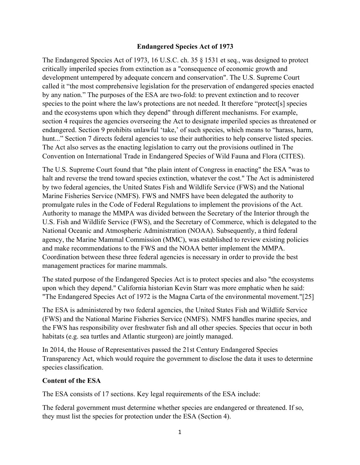### **Endangered Species Act of 1973**

The Endangered Species Act of 1973, 16 U.S.C. ch. 35 § 1531 et seq., was designed to protect critically imperiled species from extinction as a "consequence of economic growth and development untempered by adequate concern and conservation". The U.S. Supreme Court called it "the most comprehensive legislation for the preservation of endangered species enacted by any nation." The purposes of the ESA are two-fold: to prevent extinction and to recover species to the point where the law's protections are not needed. It therefore "protect[s] species and the ecosystems upon which they depend" through different mechanisms. For example, section 4 requires the agencies overseeing the Act to designate imperiled species as threatened or endangered. Section 9 prohibits unlawful 'take,' of such species, which means to "harass, harm, hunt..." Section 7 directs federal agencies to use their authorities to help conserve listed species. The Act also serves as the enacting legislation to carry out the provisions outlined in The Convention on International Trade in Endangered Species of Wild Fauna and Flora (CITES).

The U.S. Supreme Court found that "the plain intent of Congress in enacting" the ESA "was to halt and reverse the trend toward species extinction, whatever the cost." The Act is administered by two federal agencies, the United States Fish and Wildlife Service (FWS) and the National Marine Fisheries Service (NMFS). FWS and NMFS have been delegated the authority to promulgate rules in the Code of Federal Regulations to implement the provisions of the Act. Authority to manage the MMPA was divided between the Secretary of the Interior through the U.S. Fish and Wildlife Service (FWS), and the Secretary of Commerce, which is delegated to the National Oceanic and Atmospheric Administration (NOAA). Subsequently, a third federal agency, the Marine Mammal Commission (MMC), was established to review existing policies and make recommendations to the FWS and the NOAA better implement the MMPA. Coordination between these three federal agencies is necessary in order to provide the best management practices for marine mammals.

The stated purpose of the Endangered Species Act is to protect species and also "the ecosystems upon which they depend." California historian Kevin Starr was more emphatic when he said: "The Endangered Species Act of 1972 is the Magna Carta of the environmental movement."[25]

The ESA is administered by two federal agencies, the United States Fish and Wildlife Service (FWS) and the National Marine Fisheries Service (NMFS). NMFS handles marine species, and the FWS has responsibility over freshwater fish and all other species. Species that occur in both habitats (e.g. sea turtles and Atlantic sturgeon) are jointly managed.

In 2014, the House of Representatives passed the 21st Century Endangered Species Transparency Act, which would require the government to disclose the data it uses to determine species classification.

### **Content of the ESA**

The ESA consists of 17 sections. Key legal requirements of the ESA include:

The federal government must determine whether species are endangered or threatened. If so, they must list the species for protection under the ESA (Section 4).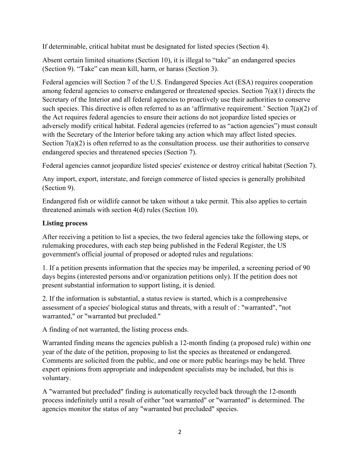If determinable, critical habitat must be designated for listed species (Section 4).

Absent certain limited situations (Section 10), it is illegal to "take" an endangered species (Section 9). "Take" can mean kill, harm, or harass (Section 3).

Federal agencies will Section 7 of the U.S. Endangered Species Act (ESA) requires cooperation among federal agencies to conserve endangered or threatened species. Section 7(a)(1) directs the Secretary of the Interior and all federal agencies to proactively use their authorities to conserve such species. This directive is often referred to as an 'affirmative requirement.' Section 7(a)(2) of the Act requires federal agencies to ensure their actions do not jeopardize listed species or adversely modify critical habitat. Federal agencies (referred to as "action agencies") must consult with the Secretary of the Interior before taking any action which may affect listed species. Section  $7(a)(2)$  is often referred to as the consultation process. use their authorities to conserve endangered species and threatened species (Section 7).

Federal agencies cannot jeopardize listed species' existence or destroy critical habitat (Section 7).

Any import, export, interstate, and foreign commerce of listed species is generally prohibited (Section 9).

Endangered fish or wildlife cannot be taken without a take permit. This also applies to certain threatened animals with section 4(d) rules (Section 10).

# **Listing process**

After receiving a petition to list a species, the two federal agencies take the following steps, or rulemaking procedures, with each step being published in the Federal Register, the US government's official journal of proposed or adopted rules and regulations:

1. If a petition presents information that the species may be imperiled, a screening period of 90 days begins (interested persons and/or organization petitions only). If the petition does not present substantial information to support listing, it is denied.

2. If the information is substantial, a status review is started, which is a comprehensive assessment of a species' biological status and threats, with a result of : "warranted", "not warranted," or "warranted but precluded."

A finding of not warranted, the listing process ends.

Warranted finding means the agencies publish a 12-month finding (a proposed rule) within one year of the date of the petition, proposing to list the species as threatened or endangered. Comments are solicited from the public, and one or more public hearings may be held. Three expert opinions from appropriate and independent specialists may be included, but this is voluntary.

A "warranted but precluded" finding is automatically recycled back through the 12-month process indefinitely until a result of either "not warranted" or "warranted" is determined. The agencies monitor the status of any "warranted but precluded" species.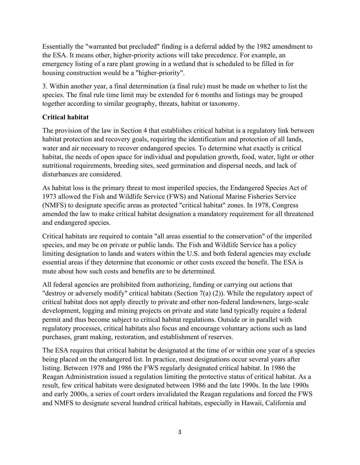Essentially the "warranted but precluded" finding is a deferral added by the 1982 amendment to the ESA. It means other, higher-priority actions will take precedence. For example, an emergency listing of a rare plant growing in a wetland that is scheduled to be filled in for housing construction would be a "higher-priority".

3. Within another year, a final determination (a final rule) must be made on whether to list the species. The final rule time limit may be extended for 6 months and listings may be grouped together according to similar geography, threats, habitat or taxonomy.

## **Critical habitat**

The provision of the law in Section 4 that establishes critical habitat is a regulatory link between habitat protection and recovery goals, requiring the identification and protection of all lands, water and air necessary to recover endangered species. To determine what exactly is critical habitat, the needs of open space for individual and population growth, food, water, light or other nutritional requirements, breeding sites, seed germination and dispersal needs, and lack of disturbances are considered.

As habitat loss is the primary threat to most imperiled species, the Endangered Species Act of 1973 allowed the Fish and Wildlife Service (FWS) and National Marine Fisheries Service (NMFS) to designate specific areas as protected "critical habitat" zones. In 1978, Congress amended the law to make critical habitat designation a mandatory requirement for all threatened and endangered species.

Critical habitats are required to contain "all areas essential to the conservation" of the imperiled species, and may be on private or public lands. The Fish and Wildlife Service has a policy limiting designation to lands and waters within the U.S. and both federal agencies may exclude essential areas if they determine that economic or other costs exceed the benefit. The ESA is mute about how such costs and benefits are to be determined.

All federal agencies are prohibited from authorizing, funding or carrying out actions that "destroy or adversely modify" critical habitats (Section 7(a) (2)). While the regulatory aspect of critical habitat does not apply directly to private and other non-federal landowners, large-scale development, logging and mining projects on private and state land typically require a federal permit and thus become subject to critical habitat regulations. Outside or in parallel with regulatory processes, critical habitats also focus and encourage voluntary actions such as land purchases, grant making, restoration, and establishment of reserves.

The ESA requires that critical habitat be designated at the time of or within one year of a species being placed on the endangered list. In practice, most designations occur several years after listing. Between 1978 and 1986 the FWS regularly designated critical habitat. In 1986 the Reagan Administration issued a regulation limiting the protective status of critical habitat. As a result, few critical habitats were designated between 1986 and the late 1990s. In the late 1990s and early 2000s, a series of court orders invalidated the Reagan regulations and forced the FWS and NMFS to designate several hundred critical habitats, especially in Hawaii, California and